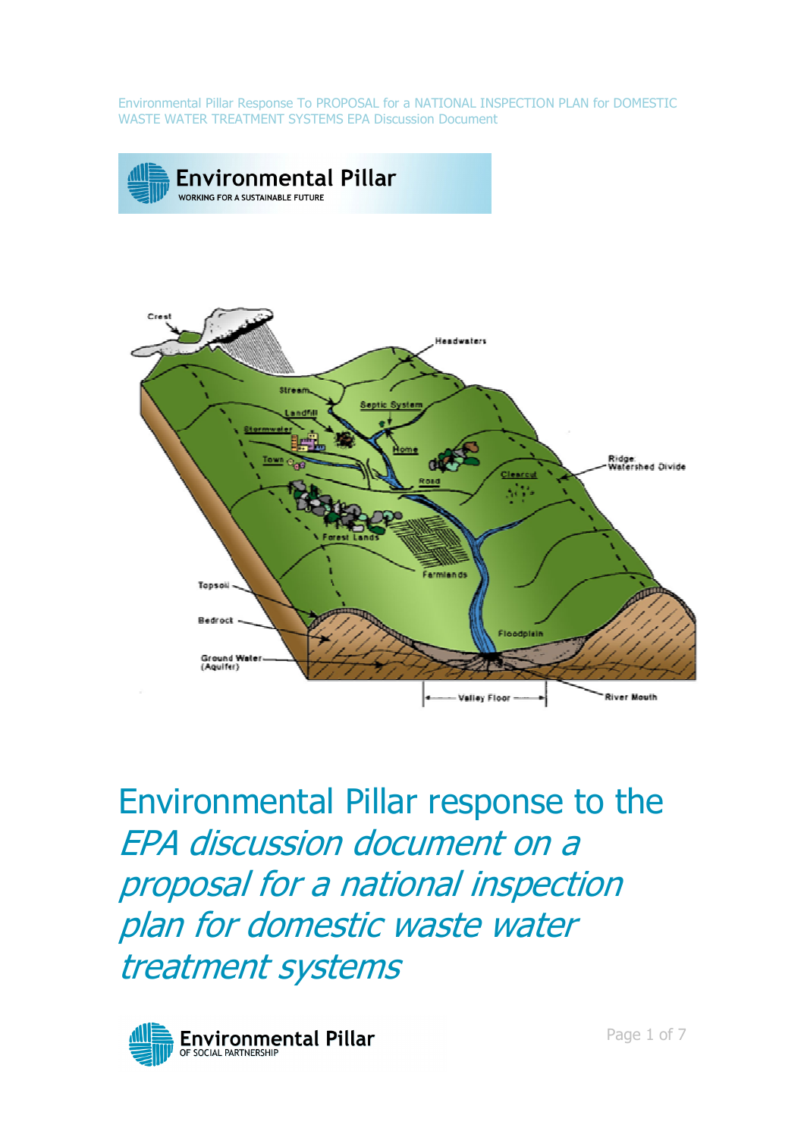

Environmental Pillar response to the EPA discussion document on a proposal for a national inspection plan for domestic waste water treatment systems

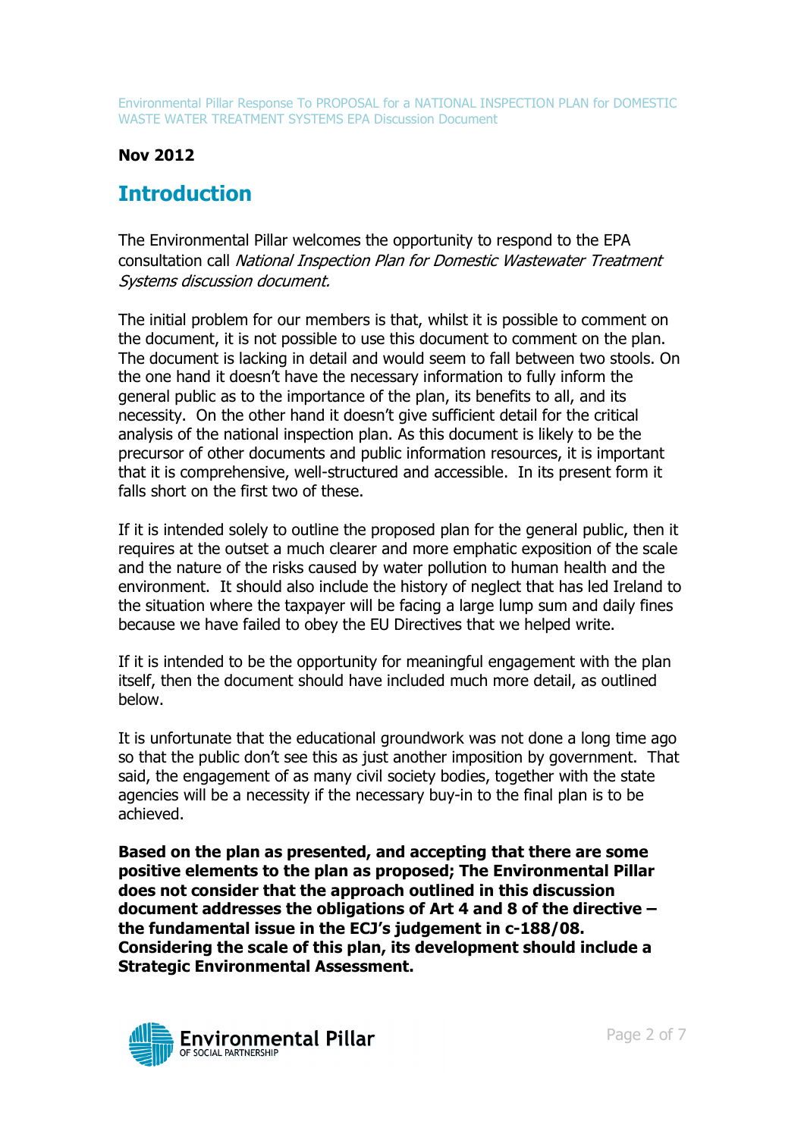#### Nov 2012

# **Introduction**

The Environmental Pillar welcomes the opportunity to respond to the EPA consultation call National Inspection Plan for Domestic Wastewater Treatment Systems discussion document.

The initial problem for our members is that, whilst it is possible to comment on the document, it is not possible to use this document to comment on the plan. The document is lacking in detail and would seem to fall between two stools. On the one hand it doesn't have the necessary information to fully inform the general public as to the importance of the plan, its benefits to all, and its necessity. On the other hand it doesn't give sufficient detail for the critical analysis of the national inspection plan. As this document is likely to be the precursor of other documents and public information resources, it is important that it is comprehensive, well-structured and accessible. In its present form it falls short on the first two of these.

If it is intended solely to outline the proposed plan for the general public, then it requires at the outset a much clearer and more emphatic exposition of the scale and the nature of the risks caused by water pollution to human health and the environment. It should also include the history of neglect that has led Ireland to the situation where the taxpayer will be facing a large lump sum and daily fines because we have failed to obey the EU Directives that we helped write.

If it is intended to be the opportunity for meaningful engagement with the plan itself, then the document should have included much more detail, as outlined below.

It is unfortunate that the educational groundwork was not done a long time ago so that the public don't see this as just another imposition by government. That said, the engagement of as many civil society bodies, together with the state agencies will be a necessity if the necessary buy-in to the final plan is to be achieved.

Based on the plan as presented, and accepting that there are some positive elements to the plan as proposed; The Environmental Pillar does not consider that the approach outlined in this discussion document addresses the obligations of Art 4 and 8 of the directive – the fundamental issue in the ECJ's judgement in c-188/08. Considering the scale of this plan, its development should include a Strategic Environmental Assessment.

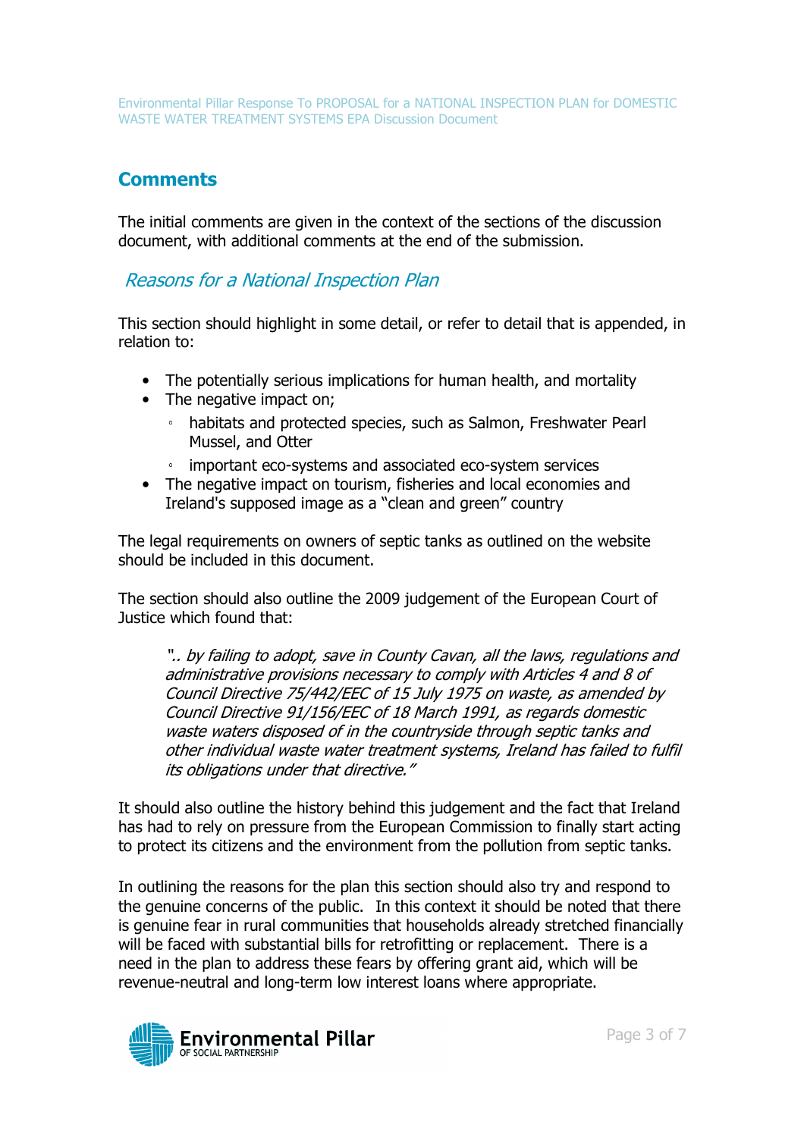# **Comments**

The initial comments are given in the context of the sections of the discussion document, with additional comments at the end of the submission.

Reasons for a National Inspection Plan

This section should highlight in some detail, or refer to detail that is appended, in relation to:

- The potentially serious implications for human health, and mortality
- The negative impact on:
	- habitats and protected species, such as Salmon, Freshwater Pearl Mussel, and Otter
	- important eco-systems and associated eco-system services
- The negative impact on tourism, fisheries and local economies and Ireland's supposed image as a "clean and green" country

The legal requirements on owners of septic tanks as outlined on the website should be included in this document.

The section should also outline the 2009 judgement of the European Court of Justice which found that:

".. by failing to adopt, save in County Cavan, all the laws, regulations and administrative provisions necessary to comply with Articles 4 and 8 of Council Directive 75/442/EEC of 15 July 1975 on waste, as amended by Council Directive 91/156/EEC of 18 March 1991, as regards domestic waste waters disposed of in the countryside through septic tanks and other individual waste water treatment systems, Ireland has failed to fulfil its obligations under that directive."

It should also outline the history behind this judgement and the fact that Ireland has had to rely on pressure from the European Commission to finally start acting to protect its citizens and the environment from the pollution from septic tanks.

In outlining the reasons for the plan this section should also try and respond to the genuine concerns of the public. In this context it should be noted that there is genuine fear in rural communities that households already stretched financially will be faced with substantial bills for retrofitting or replacement. There is a need in the plan to address these fears by offering grant aid, which will be revenue-neutral and long-term low interest loans where appropriate.

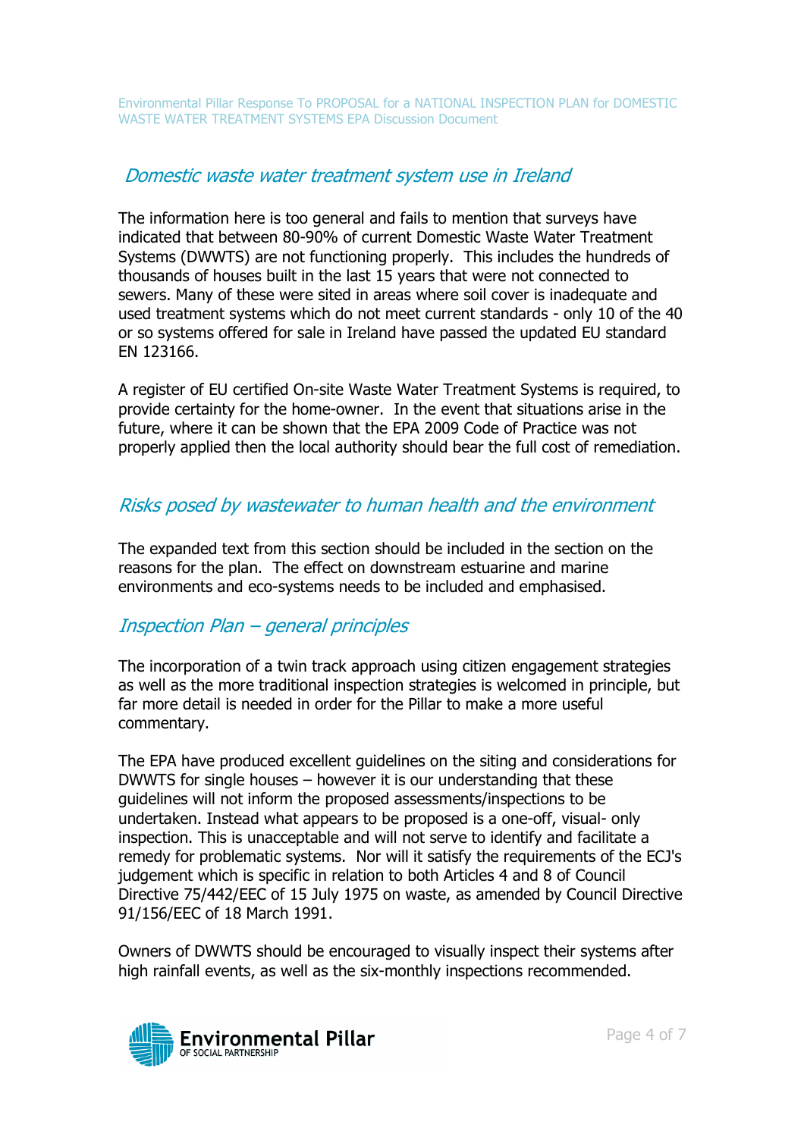### Domestic waste water treatment system use in Ireland

The information here is too general and fails to mention that surveys have indicated that between 80-90% of current Domestic Waste Water Treatment Systems (DWWTS) are not functioning properly. This includes the hundreds of thousands of houses built in the last 15 years that were not connected to sewers. Many of these were sited in areas where soil cover is inadequate and used treatment systems which do not meet current standards - only 10 of the 40 or so systems offered for sale in Ireland have passed the updated EU standard EN 123166.

A register of EU certified On-site Waste Water Treatment Systems is required, to provide certainty for the home-owner. In the event that situations arise in the future, where it can be shown that the EPA 2009 Code of Practice was not properly applied then the local authority should bear the full cost of remediation.

## Risks posed by wastewater to human health and the environment

The expanded text from this section should be included in the section on the reasons for the plan. The effect on downstream estuarine and marine environments and eco-systems needs to be included and emphasised.

## Inspection Plan – general principles

The incorporation of a twin track approach using citizen engagement strategies as well as the more traditional inspection strategies is welcomed in principle, but far more detail is needed in order for the Pillar to make a more useful commentary.

The EPA have produced excellent guidelines on the siting and considerations for DWWTS for single houses – however it is our understanding that these guidelines will not inform the proposed assessments/inspections to be undertaken. Instead what appears to be proposed is a one-off, visual- only inspection. This is unacceptable and will not serve to identify and facilitate a remedy for problematic systems. Nor will it satisfy the requirements of the ECJ's judgement which is specific in relation to both Articles 4 and 8 of Council Directive 75/442/EEC of 15 July 1975 on waste, as amended by Council Directive 91/156/EEC of 18 March 1991.

Owners of DWWTS should be encouraged to visually inspect their systems after high rainfall events, as well as the six-monthly inspections recommended.

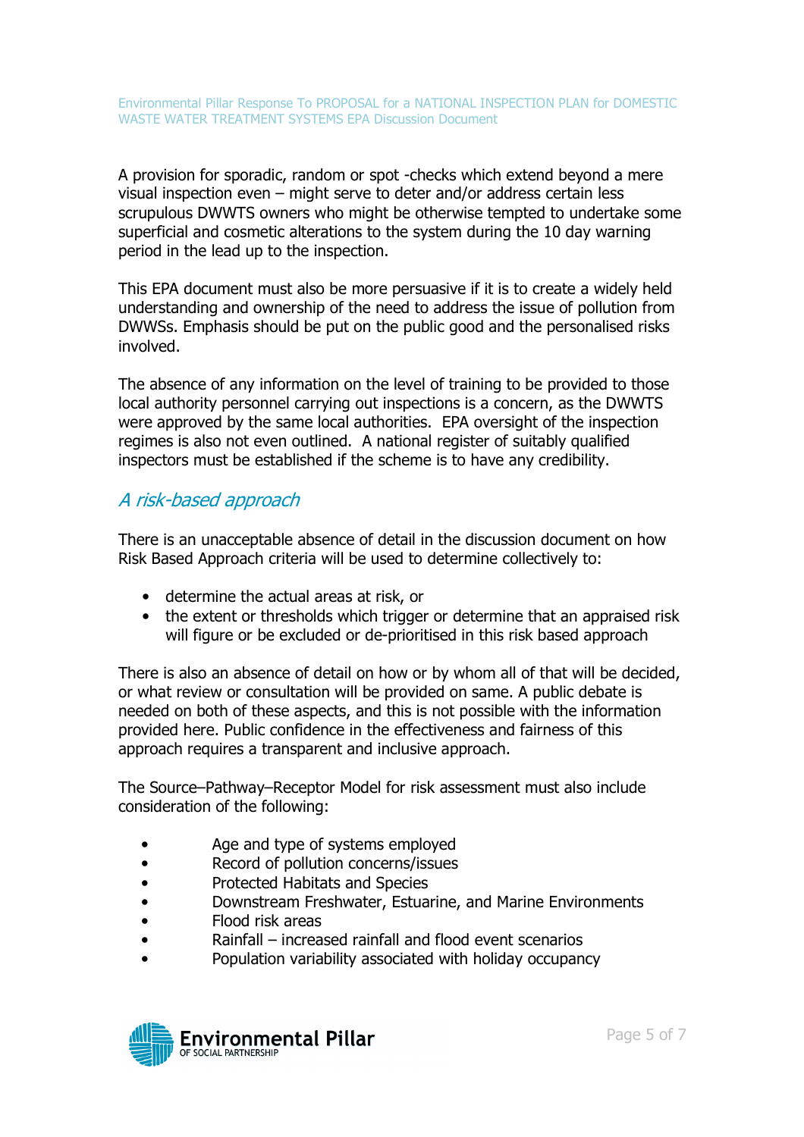A provision for sporadic, random or spot -checks which extend beyond a mere visual inspection even – might serve to deter and/or address certain less scrupulous DWWTS owners who might be otherwise tempted to undertake some superficial and cosmetic alterations to the system during the 10 day warning period in the lead up to the inspection.

This EPA document must also be more persuasive if it is to create a widely held understanding and ownership of the need to address the issue of pollution from DWWSs. Emphasis should be put on the public good and the personalised risks involved.

The absence of any information on the level of training to be provided to those local authority personnel carrying out inspections is a concern, as the DWWTS were approved by the same local authorities. EPA oversight of the inspection regimes is also not even outlined. A national register of suitably qualified inspectors must be established if the scheme is to have any credibility.

### A risk-based approach

There is an unacceptable absence of detail in the discussion document on how Risk Based Approach criteria will be used to determine collectively to:

- determine the actual areas at risk, or
- the extent or thresholds which trigger or determine that an appraised risk will figure or be excluded or de-prioritised in this risk based approach

There is also an absence of detail on how or by whom all of that will be decided, or what review or consultation will be provided on same. A public debate is needed on both of these aspects, and this is not possible with the information provided here. Public confidence in the effectiveness and fairness of this approach requires a transparent and inclusive approach.

The Source–Pathway–Receptor Model for risk assessment must also include consideration of the following:

- Age and type of systems employed
- Record of pollution concerns/issues
- Protected Habitats and Species
- Downstream Freshwater, Estuarine, and Marine Environments
- Flood risk areas
- Rainfall increased rainfall and flood event scenarios
- Population variability associated with holiday occupancy

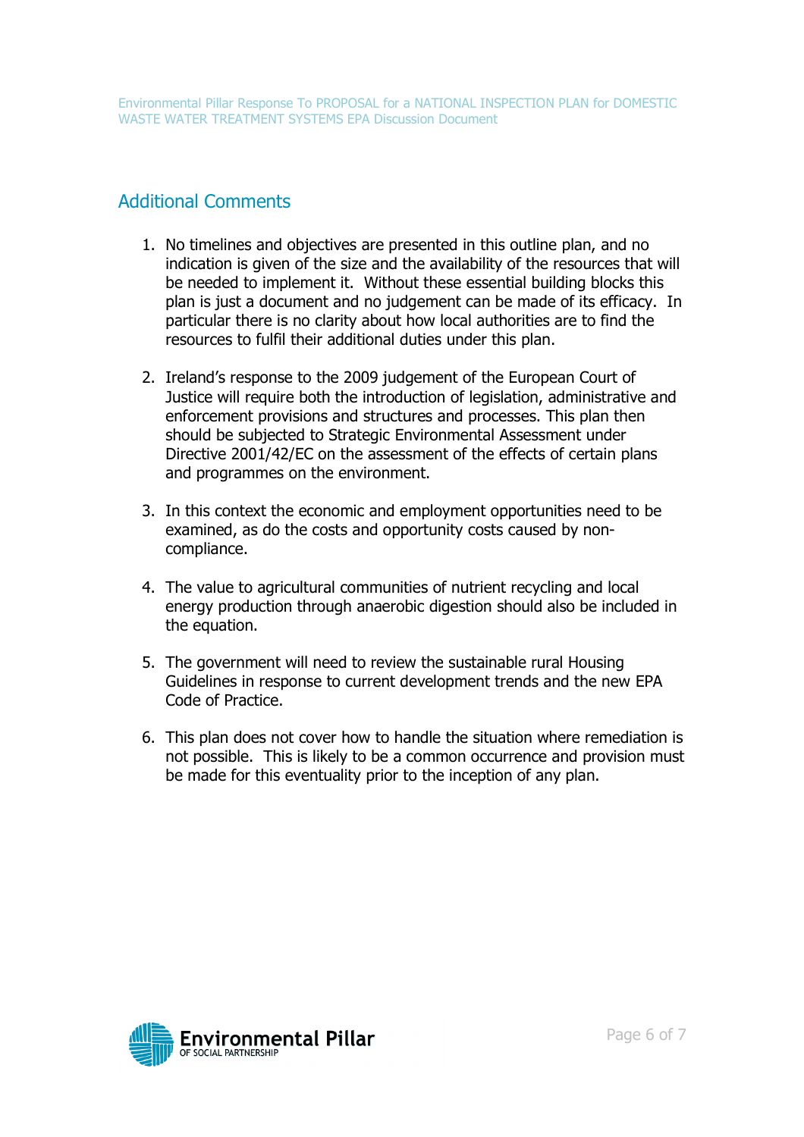# Additional Comments

- 1. No timelines and objectives are presented in this outline plan, and no indication is given of the size and the availability of the resources that will be needed to implement it. Without these essential building blocks this plan is just a document and no judgement can be made of its efficacy. In particular there is no clarity about how local authorities are to find the resources to fulfil their additional duties under this plan.
- 2. Ireland's response to the 2009 judgement of the European Court of Justice will require both the introduction of legislation, administrative and enforcement provisions and structures and processes. This plan then should be subjected to Strategic Environmental Assessment under Directive 2001/42/EC on the assessment of the effects of certain plans and programmes on the environment.
- 3. In this context the economic and employment opportunities need to be examined, as do the costs and opportunity costs caused by noncompliance.
- 4. The value to agricultural communities of nutrient recycling and local energy production through anaerobic digestion should also be included in the equation.
- 5. The government will need to review the sustainable rural Housing Guidelines in response to current development trends and the new EPA Code of Practice.
- 6. This plan does not cover how to handle the situation where remediation is not possible. This is likely to be a common occurrence and provision must be made for this eventuality prior to the inception of any plan.